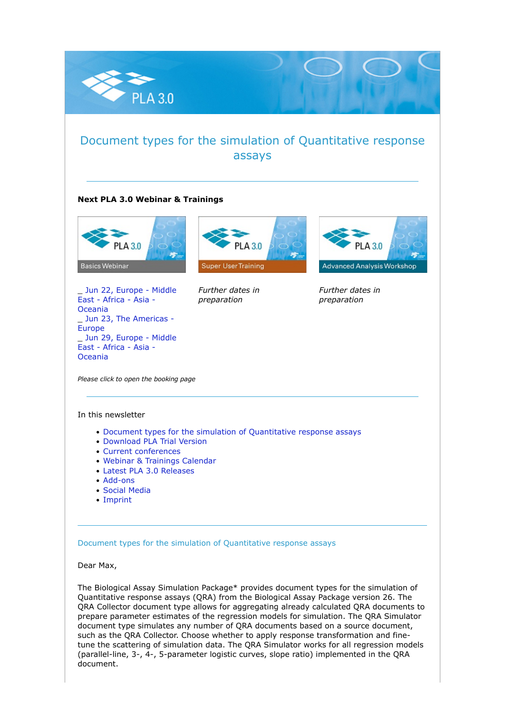

## Document types for the simulation of Quantitative response assays

### **Next PLA 3.0 Webinar & Trainings**



\_ [Jun 22, Europe - Middle](https://nl.stegmannsystems.com/c/104/5452709/0/0/0/362207/bea7ac8f8c.html) [East - Africa - Asia -](https://nl.stegmannsystems.com/c/104/5452709/0/0/0/362207/bea7ac8f8c.html) [Oceania](https://nl.stegmannsystems.com/c/104/5452709/0/0/0/362207/bea7ac8f8c.html) \_ [Jun 23, The Americas -](https://nl.stegmannsystems.com/c/104/5452709/0/0/0/362215/46785207bf.html) [Europe](https://nl.stegmannsystems.com/c/104/5452709/0/0/0/362215/46785207bf.html) \_ [Jun 29, Europe - Middle](https://nl.stegmannsystems.com/c/104/5452709/0/0/0/362217/0a4a59c503.html) [East - Africa - Asia -](https://nl.stegmannsystems.com/c/104/5452709/0/0/0/362217/0a4a59c503.html) [Oceania](https://nl.stegmannsystems.com/c/104/5452709/0/0/0/362217/0a4a59c503.html)



*Further dates in preparation*



*Further dates in preparation*

*Please click to open the booking page*

#### In this newsletter

- [Document types for the simulation of Quantitative response assays](https://nl.stegmannsystems.com/mailing/104/5452709/0/0dbe4900ca/index.html#titelthema)
- [Download PLA Trial Version](https://nl.stegmannsystems.com/mailing/104/5452709/0/0dbe4900ca/index.html#trialversion)
- [Current conferences](https://nl.stegmannsystems.com/mailing/104/5452709/0/0dbe4900ca/index.html#meetusat)
- [Webinar & Trainings Calendar](https://nl.stegmannsystems.com/mailing/104/5452709/0/0dbe4900ca/index.html#trainingscalender)
- [Latest PLA 3.0 Releases](https://nl.stegmannsystems.com/mailing/104/5452709/0/0dbe4900ca/index.html#latestreleases)
- [Add-ons](https://nl.stegmannsystems.com/mailing/104/5452709/0/0dbe4900ca/index.html#addons)
- [Social Media](https://nl.stegmannsystems.com/mailing/104/5452709/0/0dbe4900ca/index.html#socialmedia)
- [Imprint](https://nl.stegmannsystems.com/mailing/104/5452709/0/0dbe4900ca/index.html#imprint)

Document types for the simulation of Quantitative response assays

#### Dear Max,

The Biological Assay Simulation Package\* provides document types for the simulation of Quantitative response assays (QRA) from the Biological Assay Package version 26. The QRA Collector document type allows for aggregating already calculated QRA documents to prepare parameter estimates of the regression models for simulation. The QRA Simulator document type simulates any number of QRA documents based on a source document, such as the QRA Collector. Choose whether to apply response transformation and finetune the scattering of simulation data. The QRA Simulator works for all regression models (parallel-line, 3-, 4-, 5-parameter logistic curves, slope ratio) implemented in the QRA document.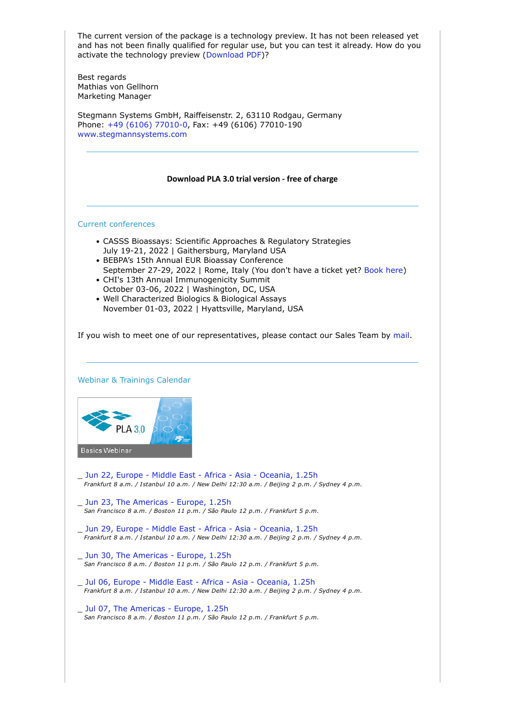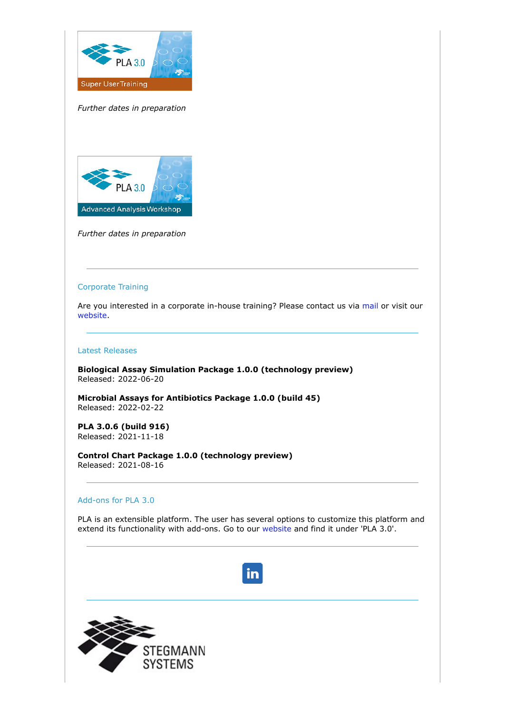

*Further dates in preparation*



*Further dates in preparation*

#### Corporate Training

Are you interested in a corporate in-house training? Please contact us via [mail](mailto:sales@bioassay.de) or visit our [website.](https://nl.stegmannsystems.com/c/104/5452709/0/0/0/362181/6bed97fad0.html)

#### Latest Releases

**Biological Assay Simulation Package 1.0.0 (technology preview)** Released: 2022-06-20

**Microbial Assays for Antibiotics Package 1.0.0 (build 45)** Released: 2022-02-22

**PLA 3.0.6 (build 916)** Released: 2021-11-18

**Control Chart Package 1.0.0 (technology preview)** Released: 2021-08-16

#### Add-ons for PLA 3.0

PLA is an extensible platform. The user has several options to customize this platform and extend its functionality with add-ons. Go to our [website a](https://nl.stegmannsystems.com/c/104/5452709/0/0/0/362177/41096cebcb.html)nd find it under 'PLA 3.0'.

# in.